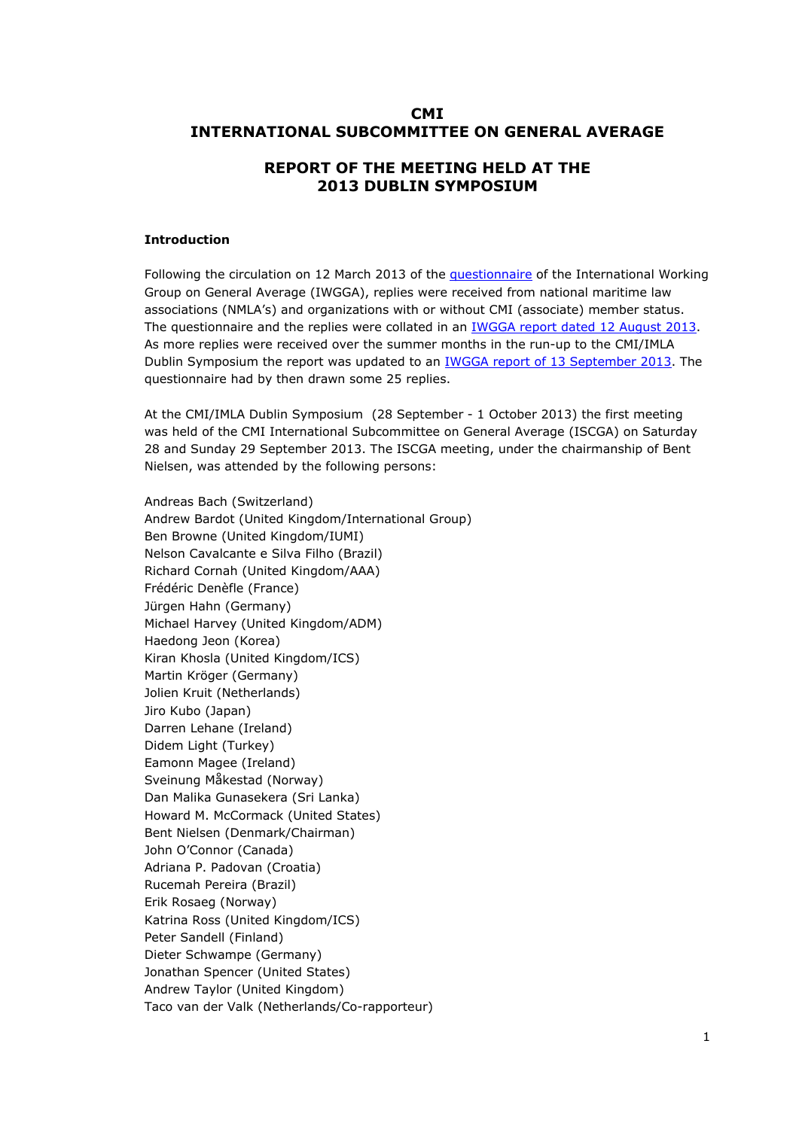# **CMI INTERNATIONAL SUBCOMMITTEE ON GENERAL AVERAGE**

# **REPORT OF THE MEETING HELD AT THE 2013 DUBLIN SYMPOSIUM**

#### **Introduction**

Following the circulation on 12 March 2013 of the [questionnaire](http://comitemaritime.org/Uploads/Correspondence President/YAR 15 March.pdf) of the International Working Group on General Average (IWGGA), replies were received from national maritime law associations (NMLA's) and organizations with or without CMI (associate) member status. The questionnaire and the replies were collated in an IWGGA report dated 12 August 2013. As more replies were received over the summer mon[ths in the run-up to the CMI/IMLA](http://www.comitemaritime.org/Uploads/Questionnaire Responses/CMI_IWG_GA_Dublin_report_2013_Final20130812.doc)  Dublin Symposium the report was updated to an [IWGGA report of 13 September 2013](http://www.comitemaritime.org/Uploads/Work In Progress/Rules of General Average/Report (12 August 2013)(updated 13 September 2013) of the CMI International Working Group on General Average .pdf). The questionnaire had by then drawn some 25 replies.

At the CMI/IMLA Dublin Symposium (28 September - 1 October 2013) the first meeting was held of the CMI International Subcommittee on General Average (ISCGA) on Saturday 28 and Sunday 29 September 2013. The ISCGA meeting, under the chairmanship of Bent Nielsen, was attended by the following persons:

Andreas Bach (Switzerland) Andrew Bardot (United Kingdom/International Group) Ben Browne (United Kingdom/IUMI) Nelson Cavalcante e Silva Filho (Brazil) Richard Cornah (United Kingdom/AAA) Frédéric Denèfle (France) Jürgen Hahn (Germany) Michael Harvey (United Kingdom/ADM) Haedong Jeon (Korea) Kiran Khosla (United Kingdom/ICS) Martin Kröger (Germany) Jolien Kruit (Netherlands) Jiro Kubo (Japan) Darren Lehane (Ireland) Didem Light (Turkey) Eamonn Magee (Ireland) Sveinung Måkestad (Norway) Dan Malika Gunasekera (Sri Lanka) Howard M. McCormack (United States) Bent Nielsen (Denmark/Chairman) John O'Connor (Canada) Adriana P. Padovan (Croatia) Rucemah Pereira (Brazil) Erik Rosaeg (Norway) Katrina Ross (United Kingdom/ICS) Peter Sandell (Finland) Dieter Schwampe (Germany) Jonathan Spencer (United States) Andrew Taylor (United Kingdom) Taco van der Valk (Netherlands/Co-rapporteur)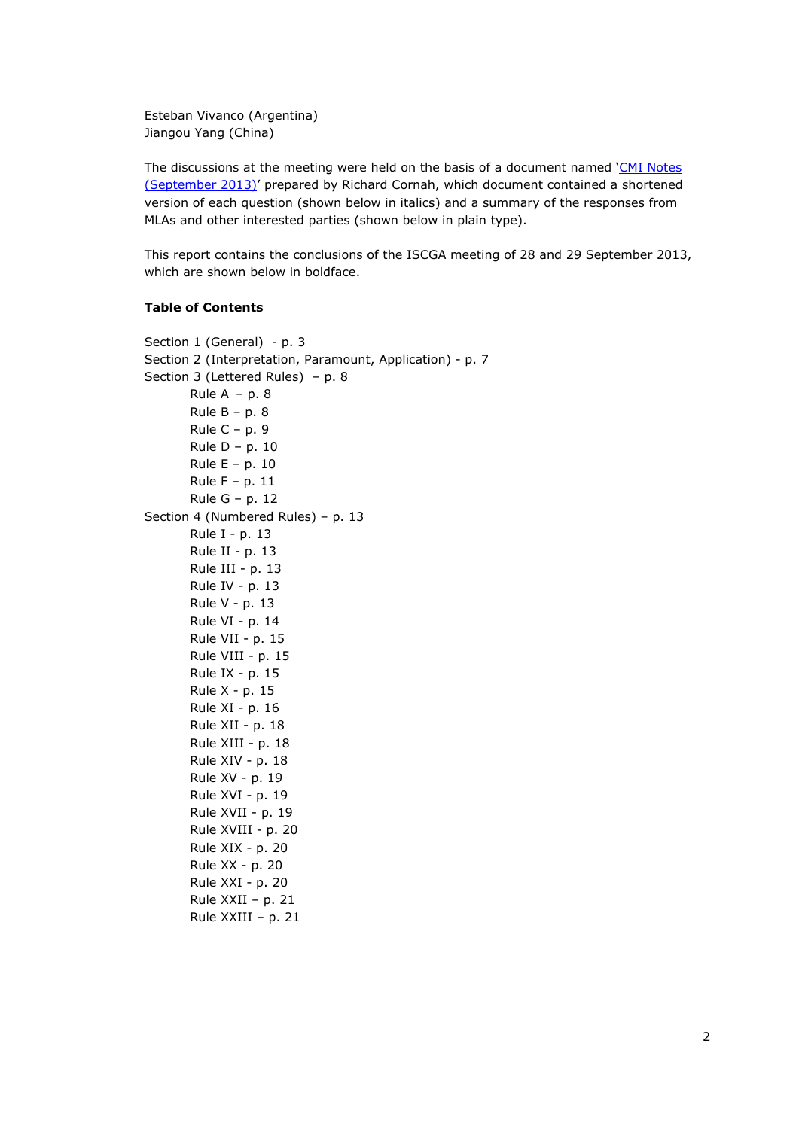Esteban Vivanco (Argentina) Jiangou Yang (China)

The discussions at the meeting were held on the basis of a document named 'CMI Notes [\(September 2013\)' prepared by Richard Cornah, which document contained a shortened](http://www.comitemaritime.org/Uploads/Work In Progress/Rules of General Average/CMI Notes (September 2013).pdf) version of each question (shown below in italics) and a summary of the responses from MLAs and other interested parties (shown below in plain type).

This report contains the conclusions of the ISCGA meeting of 28 and 29 September 2013, which are shown below in boldface.

# **Table of Contents**

```
Section 1 (General) - p. 3
Section 2 (Interpretation, Paramount, Application) - p. 7
Section 3 (Lettered Rules) – p. 8
       Rule A - p. 8Rule B - p. 8
       Rule C – p. 9
       Rule D – p. 10
       Rule E – p. 10
       Rule F – p. 11
       Rule G – p. 12
Section 4 (Numbered Rules) – p. 13
       Rule I - p. 13
       Rule II - p. 13
       Rule III - p. 13 
       Rule IV - p. 13
       Rule V - p. 13
       Rule VI - p. 14
       Rule VII - p. 15
       Rule VIII - p. 15
       Rule IX - p. 15
       Rule X - p. 15
       Rule XI - p. 16
       Rule XII - p. 18
       Rule XIII - p. 18
       Rule XIV - p. 18
       Rule XV - p. 19
       Rule XVI - p. 19
       Rule XVII - p. 19
       Rule XVIII - p. 20
       Rule XIX - p. 20
       Rule XX - p. 20
       Rule XXI - p. 20
       Rule XXII – p. 21
       Rule XXIII – p. 21
```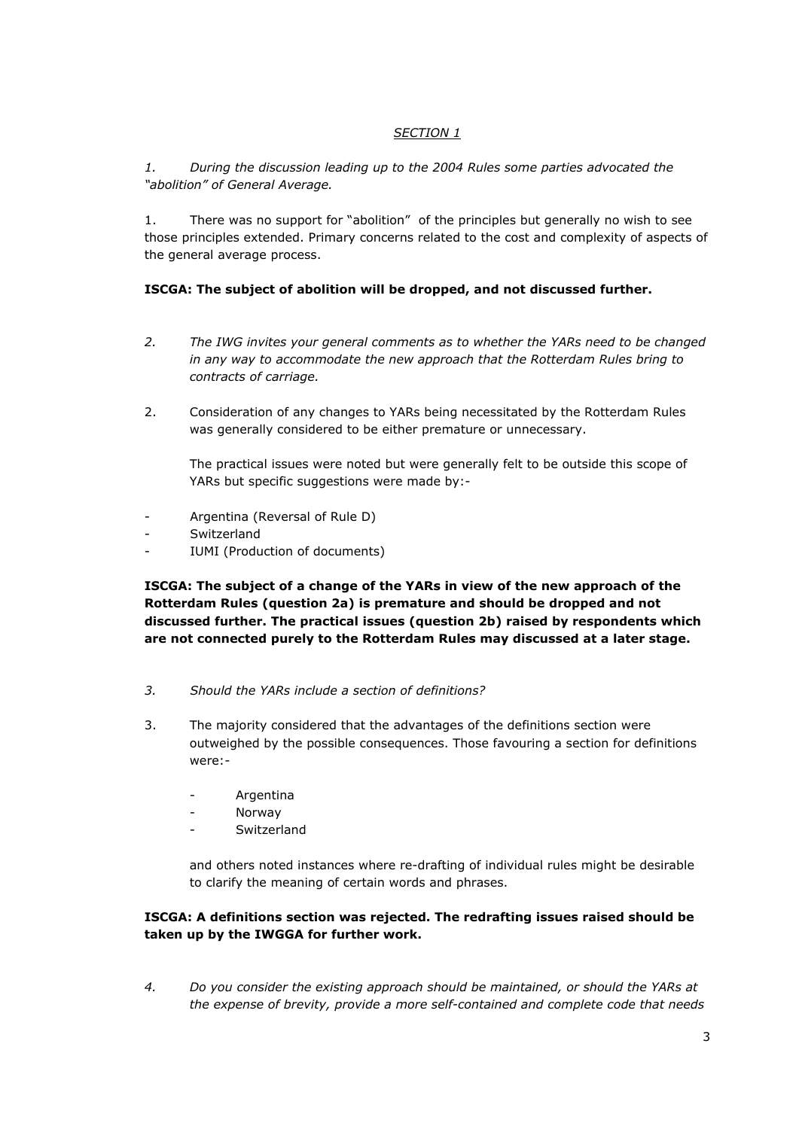# *SECTION 1*

*1. During the discussion leading up to the 2004 Rules some parties advocated the "abolition" of General Average.*

1. There was no support for "abolition" of the principles but generally no wish to see those principles extended. Primary concerns related to the cost and complexity of aspects of the general average process.

# **ISCGA: The subject of abolition will be dropped, and not discussed further.**

- *2. The IWG invites your general comments as to whether the YARs need to be changed in any way to accommodate the new approach that the Rotterdam Rules bring to contracts of carriage.*
- 2. Consideration of any changes to YARs being necessitated by the Rotterdam Rules was generally considered to be either premature or unnecessary.

The practical issues were noted but were generally felt to be outside this scope of YARs but specific suggestions were made by:-

- Argentina (Reversal of Rule D)
- **Switzerland**
- IUMI (Production of documents)

**ISCGA: The subject of a change of the YARs in view of the new approach of the Rotterdam Rules (question 2a) is premature and should be dropped and not discussed further. The practical issues (question 2b) raised by respondents which are not connected purely to the Rotterdam Rules may discussed at a later stage.** 

- *3. Should the YARs include a section of definitions?*
- 3. The majority considered that the advantages of the definitions section were outweighed by the possible consequences. Those favouring a section for definitions were:-
	- Argentina
	- **Norway**
	- Switzerland

and others noted instances where re-drafting of individual rules might be desirable to clarify the meaning of certain words and phrases.

# **ISCGA: A definitions section was rejected. The redrafting issues raised should be taken up by the IWGGA for further work.**

*4. Do you consider the existing approach should be maintained, or should the YARs at the expense of brevity, provide a more self-contained and complete code that needs*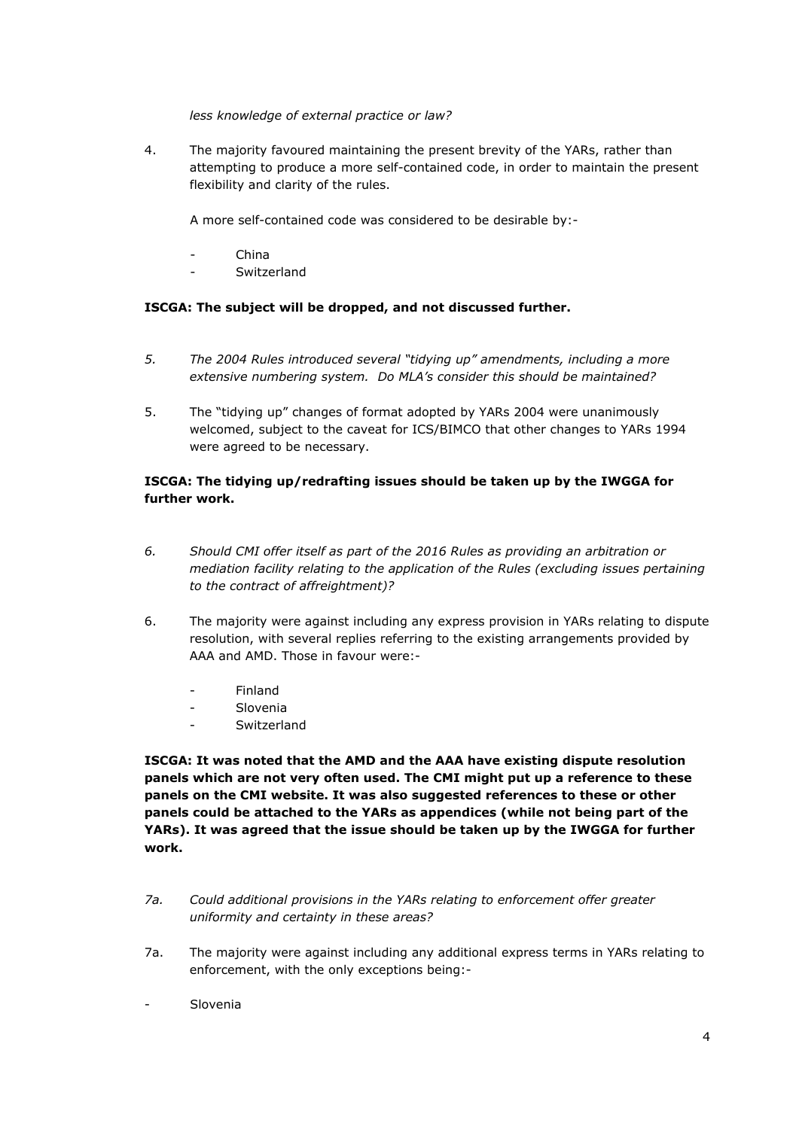*less knowledge of external practice or law?*

4. The majority favoured maintaining the present brevity of the YARs, rather than attempting to produce a more self-contained code, in order to maintain the present flexibility and clarity of the rules.

A more self-contained code was considered to be desirable by:-

- China
- Switzerland

# **ISCGA: The subject will be dropped, and not discussed further.**

- *5. The 2004 Rules introduced several "tidying up" amendments, including a more extensive numbering system. Do MLA's consider this should be maintained?*
- 5. The "tidying up" changes of format adopted by YARs 2004 were unanimously welcomed, subject to the caveat for ICS/BIMCO that other changes to YARs 1994 were agreed to be necessary.

# **ISCGA: The tidying up/redrafting issues should be taken up by the IWGGA for further work.**

- *6. Should CMI offer itself as part of the 2016 Rules as providing an arbitration or mediation facility relating to the application of the Rules (excluding issues pertaining to the contract of affreightment)?*
- 6. The majority were against including any express provision in YARs relating to dispute resolution, with several replies referring to the existing arrangements provided by AAA and AMD. Those in favour were:-
	- **Finland**
	- **Slovenia**
	- Switzerland

**ISCGA: It was noted that the AMD and the AAA have existing dispute resolution panels which are not very often used. The CMI might put up a reference to these panels on the CMI website. It was also suggested references to these or other panels could be attached to the YARs as appendices (while not being part of the YARs). It was agreed that the issue should be taken up by the IWGGA for further work.**

- *7a. Could additional provisions in the YARs relating to enforcement offer greater uniformity and certainty in these areas?*
- 7a. The majority were against including any additional express terms in YARs relating to enforcement, with the only exceptions being:-
- Slovenia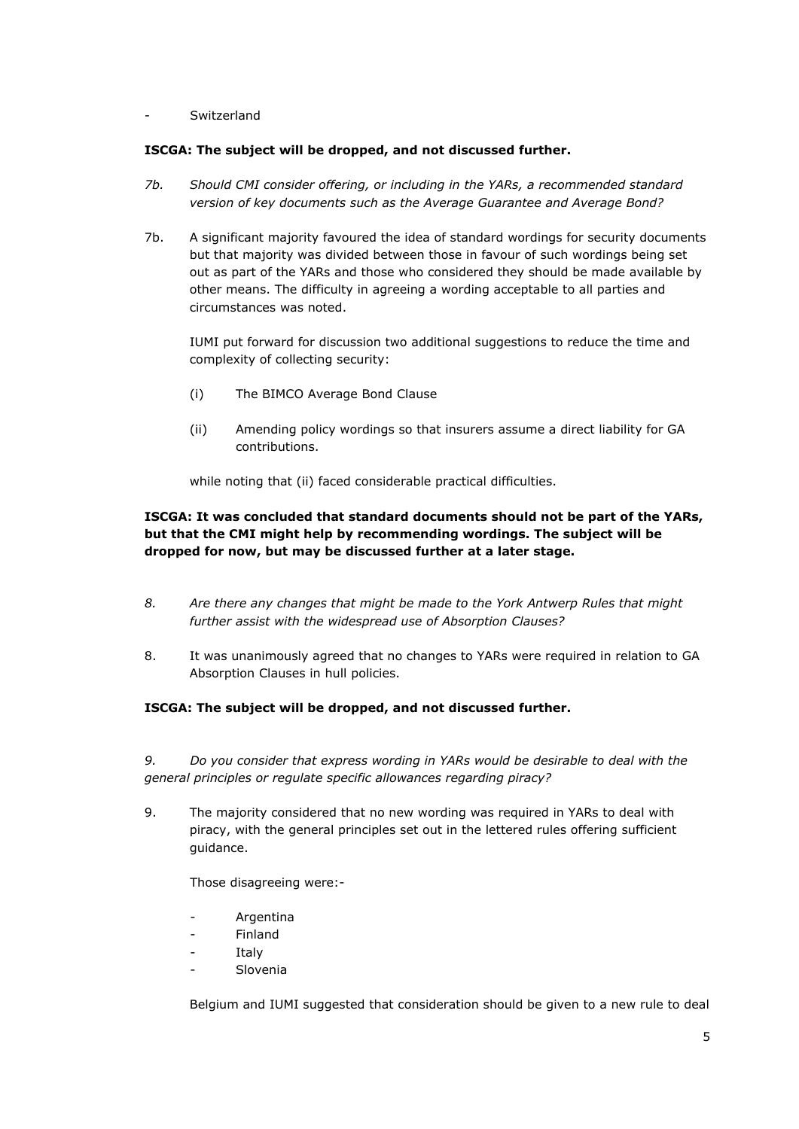- Switzerland

## **ISCGA: The subject will be dropped, and not discussed further.**

- *7b. Should CMI consider offering, or including in the YARs, a recommended standard version of key documents such as the Average Guarantee and Average Bond?*
- 7b. A significant majority favoured the idea of standard wordings for security documents but that majority was divided between those in favour of such wordings being set out as part of the YARs and those who considered they should be made available by other means. The difficulty in agreeing a wording acceptable to all parties and circumstances was noted.

IUMI put forward for discussion two additional suggestions to reduce the time and complexity of collecting security:

- (i) The BIMCO Average Bond Clause
- (ii) Amending policy wordings so that insurers assume a direct liability for GA contributions.

while noting that (ii) faced considerable practical difficulties.

# **ISCGA: It was concluded that standard documents should not be part of the YARs, but that the CMI might help by recommending wordings. The subject will be dropped for now, but may be discussed further at a later stage.**

- *8. Are there any changes that might be made to the York Antwerp Rules that might further assist with the widespread use of Absorption Clauses?*
- 8. It was unanimously agreed that no changes to YARs were required in relation to GA Absorption Clauses in hull policies.

# **ISCGA: The subject will be dropped, and not discussed further.**

*9. Do you consider that express wording in YARs would be desirable to deal with the general principles or regulate specific allowances regarding piracy?*

9. The majority considered that no new wording was required in YARs to deal with piracy, with the general principles set out in the lettered rules offering sufficient guidance.

Those disagreeing were:-

- **Argentina**
- **Finland**
- **Italy**
- Slovenia

Belgium and IUMI suggested that consideration should be given to a new rule to deal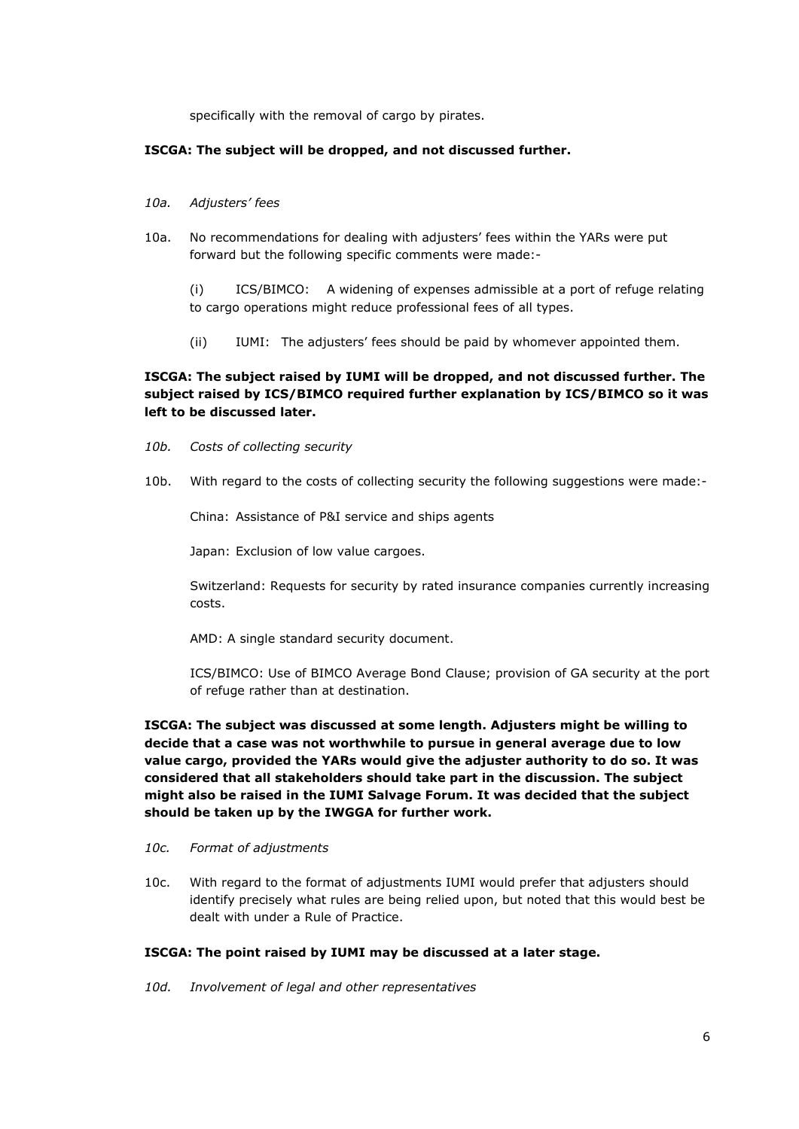specifically with the removal of cargo by pirates.

#### **ISCGA: The subject will be dropped, and not discussed further.**

- *10a. Adjusters' fees*
- 10a. No recommendations for dealing with adjusters' fees within the YARs were put forward but the following specific comments were made:-

(i) ICS/BIMCO: A widening of expenses admissible at a port of refuge relating to cargo operations might reduce professional fees of all types.

(ii) IUMI: The adjusters' fees should be paid by whomever appointed them.

# **ISCGA: The subject raised by IUMI will be dropped, and not discussed further. The subject raised by ICS/BIMCO required further explanation by ICS/BIMCO so it was left to be discussed later.**

- *10b. Costs of collecting security*
- 10b. With regard to the costs of collecting security the following suggestions were made:-

China: Assistance of P&I service and ships agents

Japan: Exclusion of low value cargoes.

Switzerland: Requests for security by rated insurance companies currently increasing costs.

AMD: A single standard security document.

ICS/BIMCO: Use of BIMCO Average Bond Clause; provision of GA security at the port of refuge rather than at destination.

**ISCGA: The subject was discussed at some length. Adjusters might be willing to decide that a case was not worthwhile to pursue in general average due to low value cargo, provided the YARs would give the adjuster authority to do so. It was considered that all stakeholders should take part in the discussion. The subject might also be raised in the IUMI Salvage Forum. It was decided that the subject should be taken up by the IWGGA for further work.**

#### *10c. Format of adjustments*

10c. With regard to the format of adjustments IUMI would prefer that adjusters should identify precisely what rules are being relied upon, but noted that this would best be dealt with under a Rule of Practice.

# **ISCGA: The point raised by IUMI may be discussed at a later stage.**

*10d. Involvement of legal and other representatives*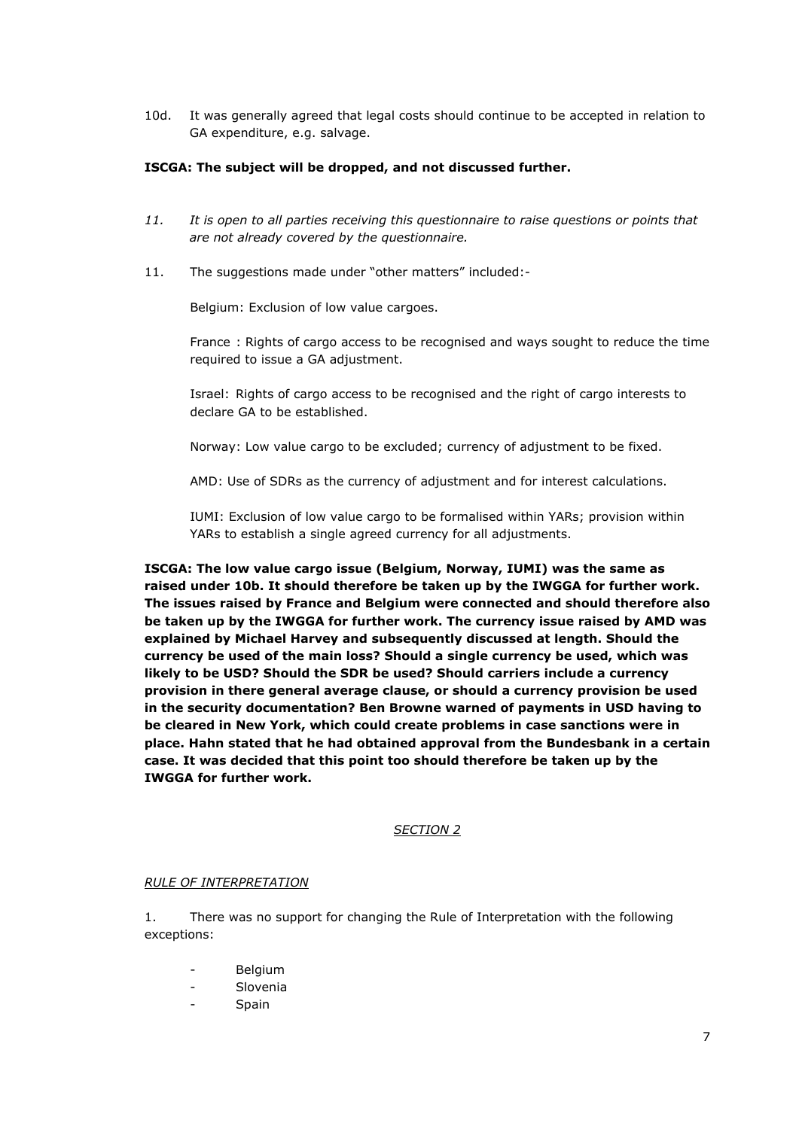10d. It was generally agreed that legal costs should continue to be accepted in relation to GA expenditure, e.g. salvage.

### **ISCGA: The subject will be dropped, and not discussed further.**

- *11. It is open to all parties receiving this questionnaire to raise questions or points that are not already covered by the questionnaire.*
- 11. The suggestions made under "other matters" included:-

Belgium: Exclusion of low value cargoes.

France : Rights of cargo access to be recognised and ways sought to reduce the time required to issue a GA adjustment.

Israel: Rights of cargo access to be recognised and the right of cargo interests to declare GA to be established.

Norway: Low value cargo to be excluded; currency of adjustment to be fixed.

AMD: Use of SDRs as the currency of adjustment and for interest calculations.

IUMI: Exclusion of low value cargo to be formalised within YARs; provision within YARs to establish a single agreed currency for all adjustments.

**ISCGA: The low value cargo issue (Belgium, Norway, IUMI) was the same as raised under 10b. It should therefore be taken up by the IWGGA for further work. The issues raised by France and Belgium were connected and should therefore also be taken up by the IWGGA for further work. The currency issue raised by AMD was explained by Michael Harvey and subsequently discussed at length. Should the currency be used of the main loss? Should a single currency be used, which was likely to be USD? Should the SDR be used? Should carriers include a currency provision in there general average clause, or should a currency provision be used in the security documentation? Ben Browne warned of payments in USD having to be cleared in New York, which could create problems in case sanctions were in place. Hahn stated that he had obtained approval from the Bundesbank in a certain case. It was decided that this point too should therefore be taken up by the IWGGA for further work.**

### *SECTION 2*

#### *RULE OF INTERPRETATION*

1. There was no support for changing the Rule of Interpretation with the following exceptions:

- **Belgium**
- Slovenia
- Spain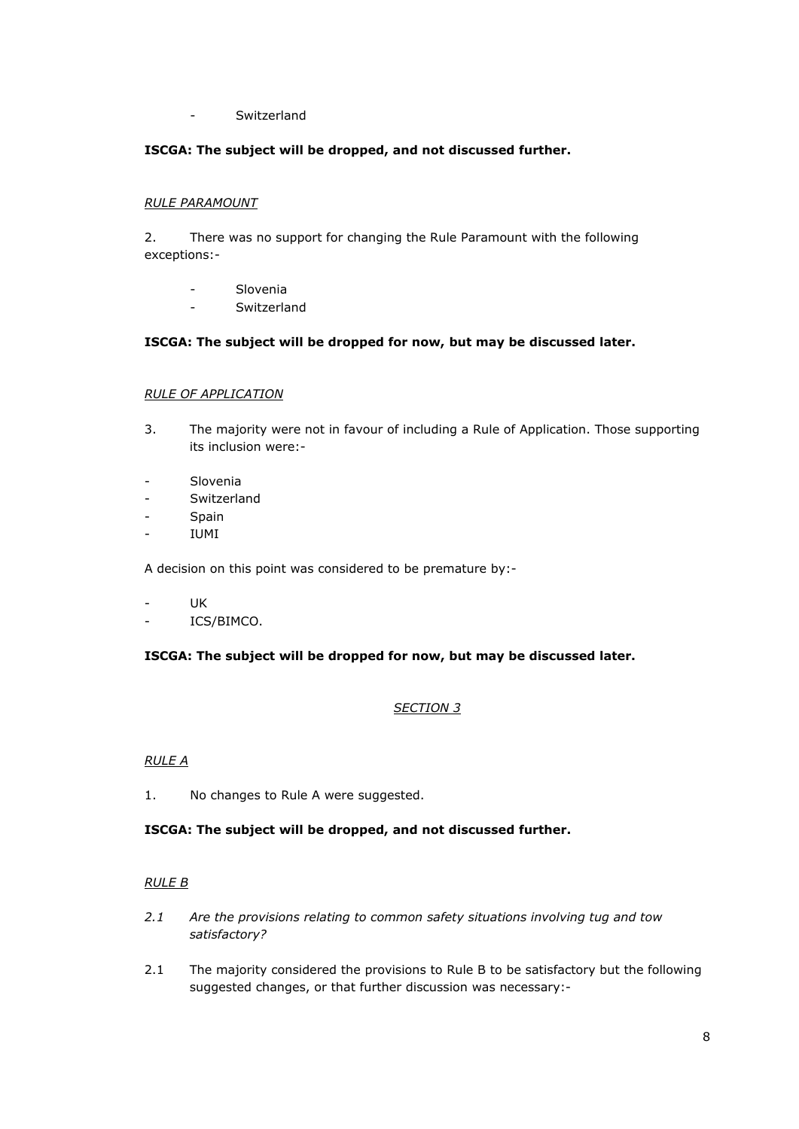- Switzerland

# **ISCGA: The subject will be dropped, and not discussed further.**

### *RULE PARAMOUNT*

2. There was no support for changing the Rule Paramount with the following exceptions:-

- Slovenia
- Switzerland

## **ISCGA: The subject will be dropped for now, but may be discussed later.**

## *RULE OF APPLICATION*

- 3. The majority were not in favour of including a Rule of Application. Those supporting its inclusion were:-
- Slovenia
- Switzerland
- **Spain**
- IUMI

A decision on this point was considered to be premature by:-

- UK
- ICS/BIMCO.

### **ISCGA: The subject will be dropped for now, but may be discussed later.**

# *SECTION 3*

### *RULE A*

1. No changes to Rule A were suggested.

# **ISCGA: The subject will be dropped, and not discussed further.**

### *RULE B*

- *2.1 Are the provisions relating to common safety situations involving tug and tow satisfactory?*
- 2.1 The majority considered the provisions to Rule B to be satisfactory but the following suggested changes, or that further discussion was necessary:-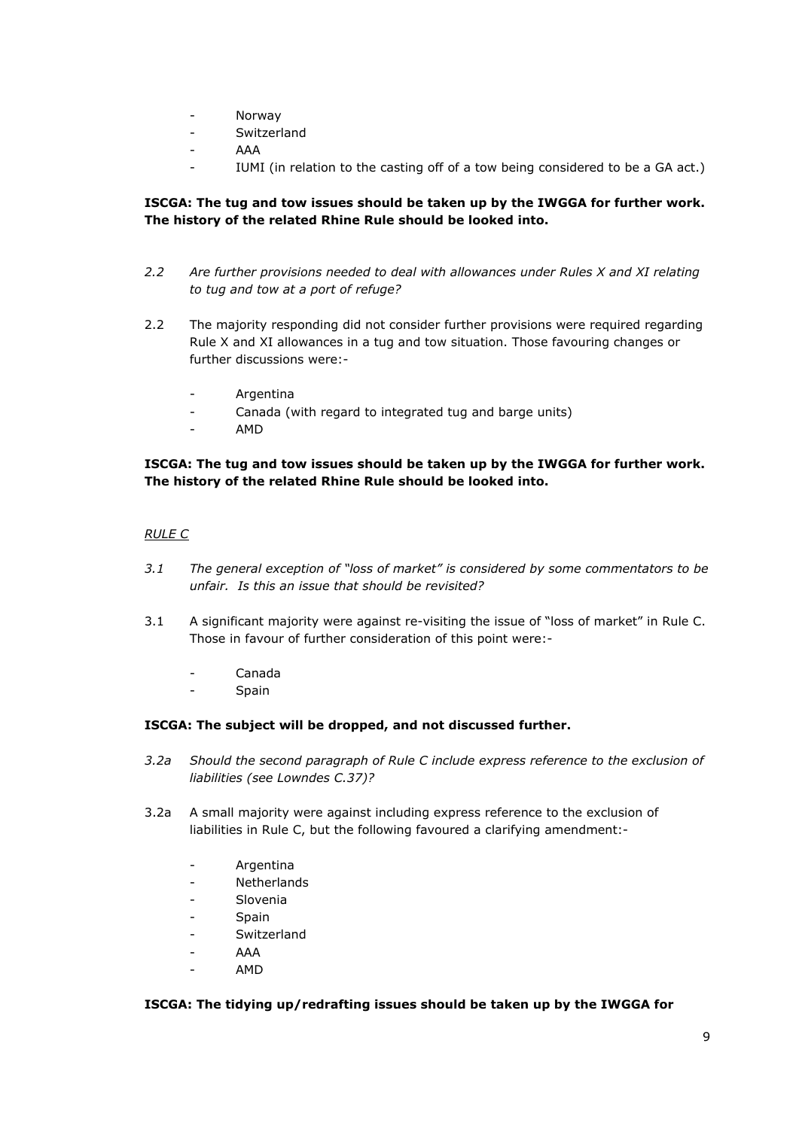- Norway
- Switzerland
- AAA
- IUMI (in relation to the casting off of a tow being considered to be a GA act.)

# **ISCGA: The tug and tow issues should be taken up by the IWGGA for further work. The history of the related Rhine Rule should be looked into.**

- *2.2 Are further provisions needed to deal with allowances under Rules X and XI relating to tug and tow at a port of refuge?*
- 2.2 The majority responding did not consider further provisions were required regarding Rule X and XI allowances in a tug and tow situation. Those favouring changes or further discussions were:-
	- **Argentina**
	- Canada (with regard to integrated tug and barge units)
	- AMD

## **ISCGA: The tug and tow issues should be taken up by the IWGGA for further work. The history of the related Rhine Rule should be looked into.**

## *RULE C*

- *3.1 The general exception of "loss of market" is considered by some commentators to be unfair. Is this an issue that should be revisited?*
- 3.1 A significant majority were against re-visiting the issue of "loss of market" in Rule C. Those in favour of further consideration of this point were:-
	- Canada
	- Spain

### **ISCGA: The subject will be dropped, and not discussed further.**

- *3.2a Should the second paragraph of Rule C include express reference to the exclusion of liabilities (see Lowndes C.37)?*
- 3.2a A small majority were against including express reference to the exclusion of liabilities in Rule C, but the following favoured a clarifying amendment:-
	- Argentina
	- **Netherlands**
	- Slovenia
	- **Spain**
	- **Switzerland**
	- AAA
	- AMD

## **ISCGA: The tidying up/redrafting issues should be taken up by the IWGGA for**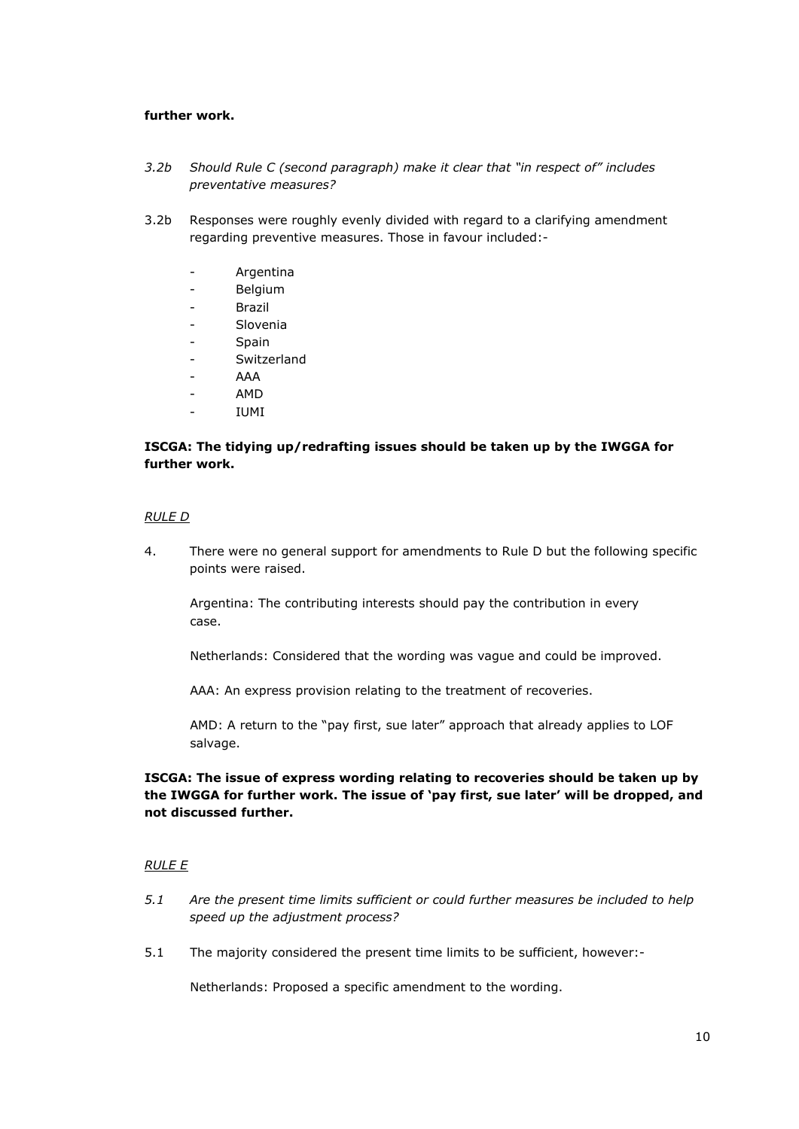### **further work.**

- *3.2b Should Rule C (second paragraph) make it clear that "in respect of" includes preventative measures?*
- 3.2b Responses were roughly evenly divided with regard to a clarifying amendment regarding preventive measures. Those in favour included:-
	- **Argentina**
	- Belgium
	- Brazil
	- Slovenia
	- Spain
	- Switzerland
	- AAA
	- AMD
	- IUMI

## **ISCGA: The tidying up/redrafting issues should be taken up by the IWGGA for further work.**

### *RULE D*

4. There were no general support for amendments to Rule D but the following specific points were raised.

Argentina: The contributing interests should pay the contribution in every case.

Netherlands: Considered that the wording was vague and could be improved.

AAA: An express provision relating to the treatment of recoveries.

AMD: A return to the "pay first, sue later" approach that already applies to LOF salvage.

# **ISCGA: The issue of express wording relating to recoveries should be taken up by the IWGGA for further work. The issue of 'pay first, sue later' will be dropped, and not discussed further.**

### *RULE E*

- *5.1 Are the present time limits sufficient or could further measures be included to help speed up the adjustment process?*
- 5.1 The majority considered the present time limits to be sufficient, however:-

Netherlands: Proposed a specific amendment to the wording.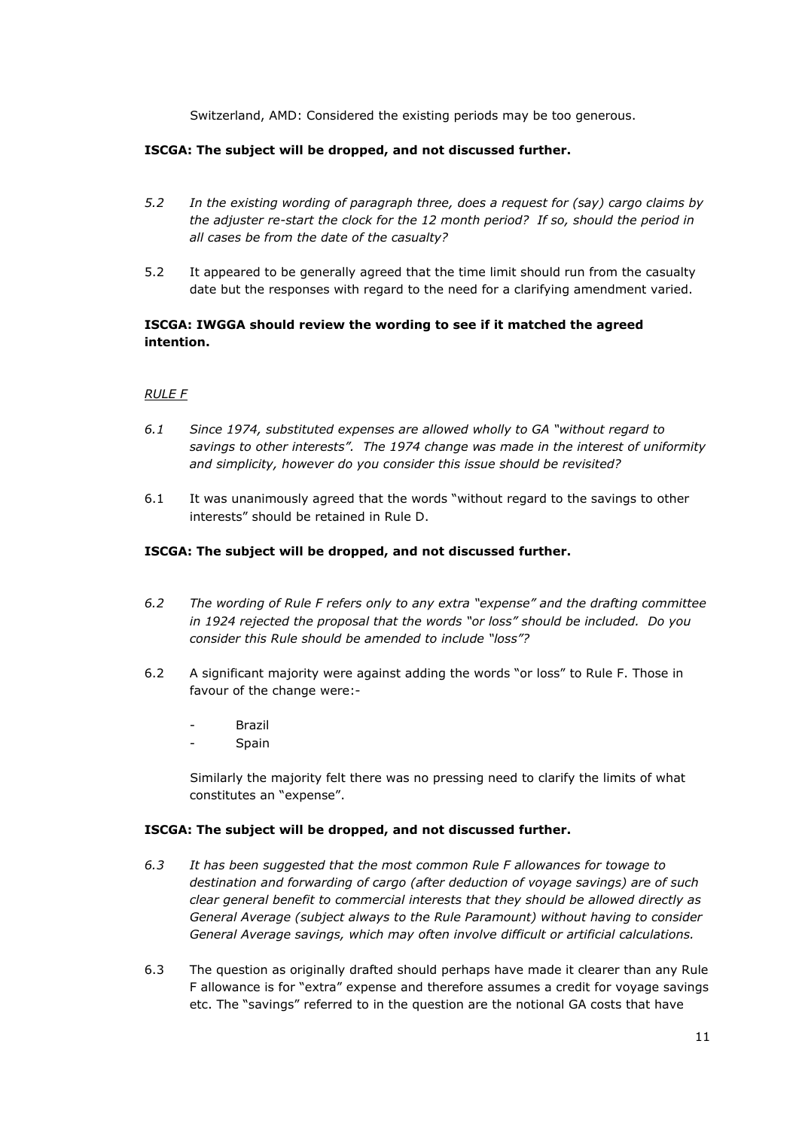Switzerland, AMD: Considered the existing periods may be too generous.

## **ISCGA: The subject will be dropped, and not discussed further.**

- *5.2 In the existing wording of paragraph three, does a request for (say) cargo claims by the adjuster re-start the clock for the 12 month period? If so, should the period in all cases be from the date of the casualty?*
- 5.2 It appeared to be generally agreed that the time limit should run from the casualty date but the responses with regard to the need for a clarifying amendment varied.

# **ISCGA: IWGGA should review the wording to see if it matched the agreed intention.**

## *RULE F*

- *6.1 Since 1974, substituted expenses are allowed wholly to GA "without regard to savings to other interests". The 1974 change was made in the interest of uniformity and simplicity, however do you consider this issue should be revisited?*
- 6.1 It was unanimously agreed that the words "without regard to the savings to other interests" should be retained in Rule D.

### **ISCGA: The subject will be dropped, and not discussed further.**

- *6.2 The wording of Rule F refers only to any extra "expense" and the drafting committee in 1924 rejected the proposal that the words "or loss" should be included. Do you consider this Rule should be amended to include "loss"?*
- 6.2 A significant majority were against adding the words "or loss" to Rule F. Those in favour of the change were:-
	- **Brazil**
	- **Spain**

Similarly the majority felt there was no pressing need to clarify the limits of what constitutes an "expense".

### **ISCGA: The subject will be dropped, and not discussed further.**

- *6.3 It has been suggested that the most common Rule F allowances for towage to destination and forwarding of cargo (after deduction of voyage savings) are of such clear general benefit to commercial interests that they should be allowed directly as General Average (subject always to the Rule Paramount) without having to consider General Average savings, which may often involve difficult or artificial calculations.*
- 6.3 The question as originally drafted should perhaps have made it clearer than any Rule F allowance is for "extra" expense and therefore assumes a credit for voyage savings etc. The "savings" referred to in the question are the notional GA costs that have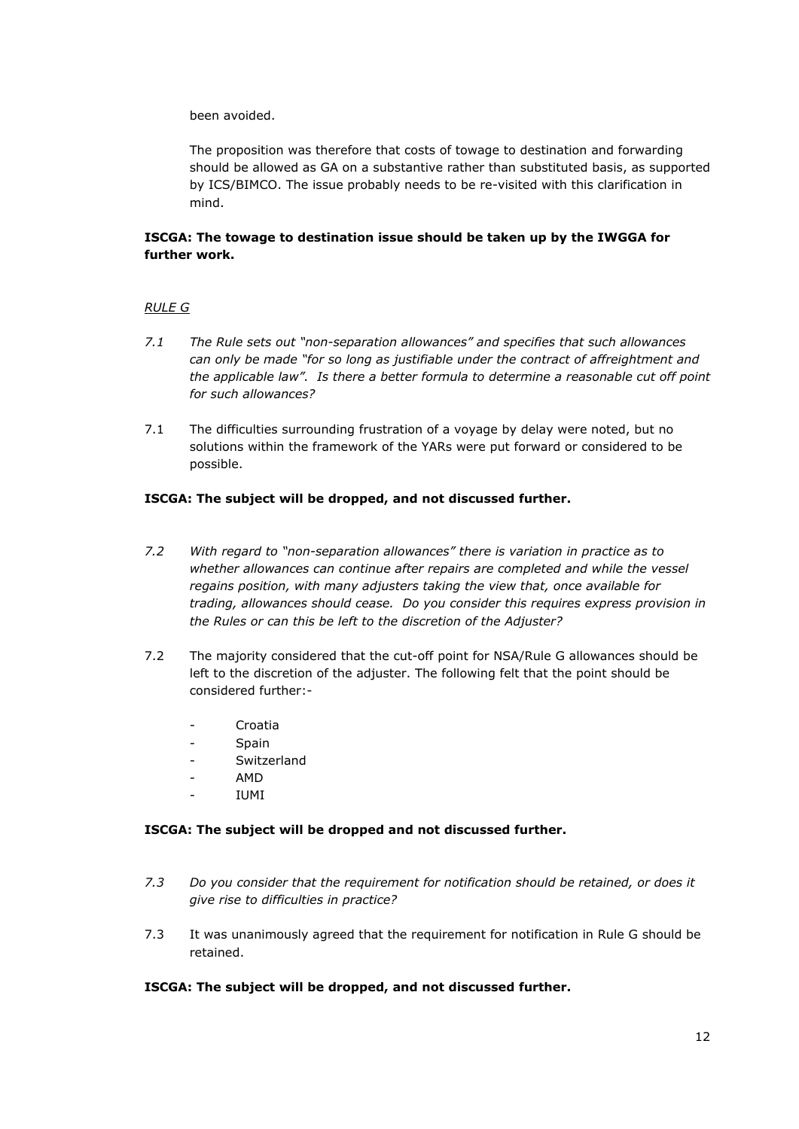been avoided.

The proposition was therefore that costs of towage to destination and forwarding should be allowed as GA on a substantive rather than substituted basis, as supported by ICS/BIMCO. The issue probably needs to be re-visited with this clarification in mind.

# **ISCGA: The towage to destination issue should be taken up by the IWGGA for further work.**

## *RULE G*

- *7.1 The Rule sets out "non-separation allowances" and specifies that such allowances can only be made "for so long as justifiable under the contract of affreightment and the applicable law". Is there a better formula to determine a reasonable cut off point for such allowances?*
- 7.1 The difficulties surrounding frustration of a voyage by delay were noted, but no solutions within the framework of the YARs were put forward or considered to be possible.

## **ISCGA: The subject will be dropped, and not discussed further.**

- *7.2 With regard to "non-separation allowances" there is variation in practice as to whether allowances can continue after repairs are completed and while the vessel regains position, with many adjusters taking the view that, once available for trading, allowances should cease. Do you consider this requires express provision in the Rules or can this be left to the discretion of the Adjuster?*
- 7.2 The majority considered that the cut-off point for NSA/Rule G allowances should be left to the discretion of the adjuster. The following felt that the point should be considered further:-
	- **Croatia**
	- Spain
	- Switzerland
	- AMD
	- IUMI

### **ISCGA: The subject will be dropped and not discussed further.**

- *7.3 Do you consider that the requirement for notification should be retained, or does it give rise to difficulties in practice?*
- 7.3 It was unanimously agreed that the requirement for notification in Rule G should be retained.

### **ISCGA: The subject will be dropped, and not discussed further.**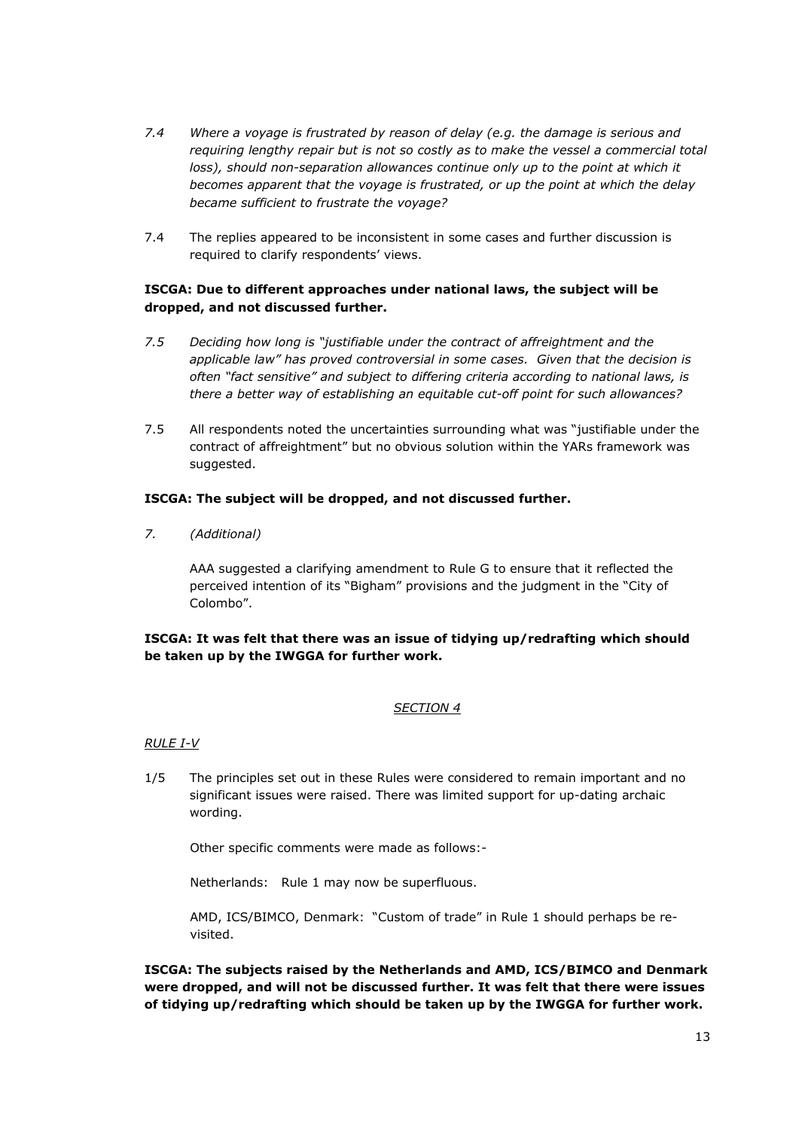- *7.4 Where a voyage is frustrated by reason of delay (e.g. the damage is serious and requiring lengthy repair but is not so costly as to make the vessel a commercial total loss)*, should non-separation allowances continue only up to the point at which it *becomes apparent that the voyage is frustrated, or up the point at which the delay became sufficient to frustrate the voyage?*
- 7.4 The replies appeared to be inconsistent in some cases and further discussion is required to clarify respondents' views.

# **ISCGA: Due to different approaches under national laws, the subject will be dropped, and not discussed further.**

- *7.5 Deciding how long is "justifiable under the contract of affreightment and the applicable law" has proved controversial in some cases. Given that the decision is often "fact sensitive" and subject to differing criteria according to national laws, is there a better way of establishing an equitable cut-off point for such allowances?*
- 7.5 All respondents noted the uncertainties surrounding what was "justifiable under the contract of affreightment" but no obvious solution within the YARs framework was suggested.

## **ISCGA: The subject will be dropped, and not discussed further.**

*7. (Additional)*

AAA suggested a clarifying amendment to Rule G to ensure that it reflected the perceived intention of its "Bigham" provisions and the judgment in the "City of Colombo".

# **ISCGA: It was felt that there was an issue of tidying up/redrafting which should be taken up by the IWGGA for further work.**

### *SECTION 4*

### *RULE I-V*

1/5 The principles set out in these Rules were considered to remain important and no significant issues were raised. There was limited support for up-dating archaic wording.

Other specific comments were made as follows:-

Netherlands: Rule 1 may now be superfluous.

AMD, ICS/BIMCO, Denmark: "Custom of trade" in Rule 1 should perhaps be revisited.

**ISCGA: The subjects raised by the Netherlands and AMD, ICS/BIMCO and Denmark were dropped, and will not be discussed further. It was felt that there were issues of tidying up/redrafting which should be taken up by the IWGGA for further work.**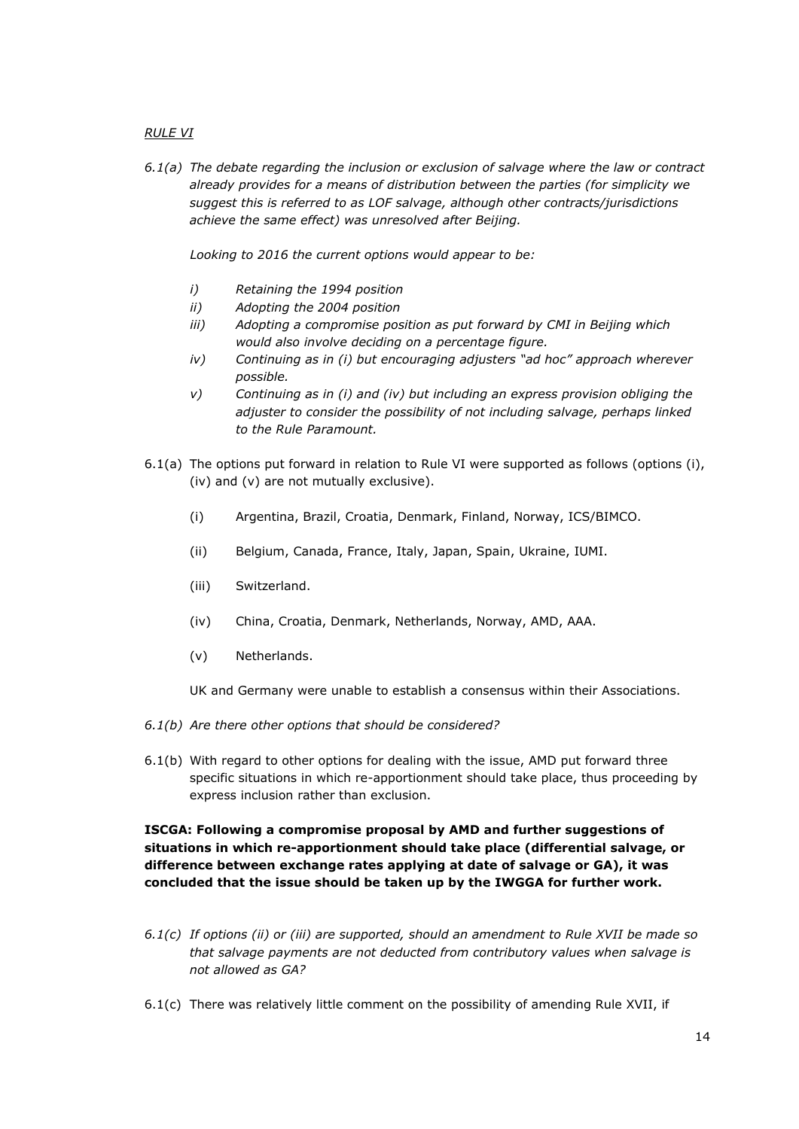## *RULE VI*

*6.1(a) The debate regarding the inclusion or exclusion of salvage where the law or contract already provides for a means of distribution between the parties (for simplicity we suggest this is referred to as LOF salvage, although other contracts/jurisdictions achieve the same effect) was unresolved after Beijing.*

*Looking to 2016 the current options would appear to be:*

- *i) Retaining the 1994 position*
- *ii) Adopting the 2004 position*
- *iii) Adopting a compromise position as put forward by CMI in Beijing which would also involve deciding on a percentage figure.*
- *iv) Continuing as in (i) but encouraging adjusters "ad hoc" approach wherever possible.*
- *v) Continuing as in (i) and (iv) but including an express provision obliging the adjuster to consider the possibility of not including salvage, perhaps linked to the Rule Paramount.*
- 6.1(a) The options put forward in relation to Rule VI were supported as follows (options (i), (iv) and (v) are not mutually exclusive).
	- (i) Argentina, Brazil, Croatia, Denmark, Finland, Norway, ICS/BIMCO.
	- (ii) Belgium, Canada, France, Italy, Japan, Spain, Ukraine, IUMI.
	- (iii) Switzerland.
	- (iv) China, Croatia, Denmark, Netherlands, Norway, AMD, AAA.
	- (v) Netherlands.

UK and Germany were unable to establish a consensus within their Associations.

- *6.1(b) Are there other options that should be considered?*
- 6.1(b) With regard to other options for dealing with the issue, AMD put forward three specific situations in which re-apportionment should take place, thus proceeding by express inclusion rather than exclusion.

# **ISCGA: Following a compromise proposal by AMD and further suggestions of situations in which re-apportionment should take place (differential salvage, or difference between exchange rates applying at date of salvage or GA), it was concluded that the issue should be taken up by the IWGGA for further work.**

- *6.1(c) If options (ii) or (iii) are supported, should an amendment to Rule XVII be made so that salvage payments are not deducted from contributory values when salvage is not allowed as GA?*
- 6.1(c) There was relatively little comment on the possibility of amending Rule XVII, if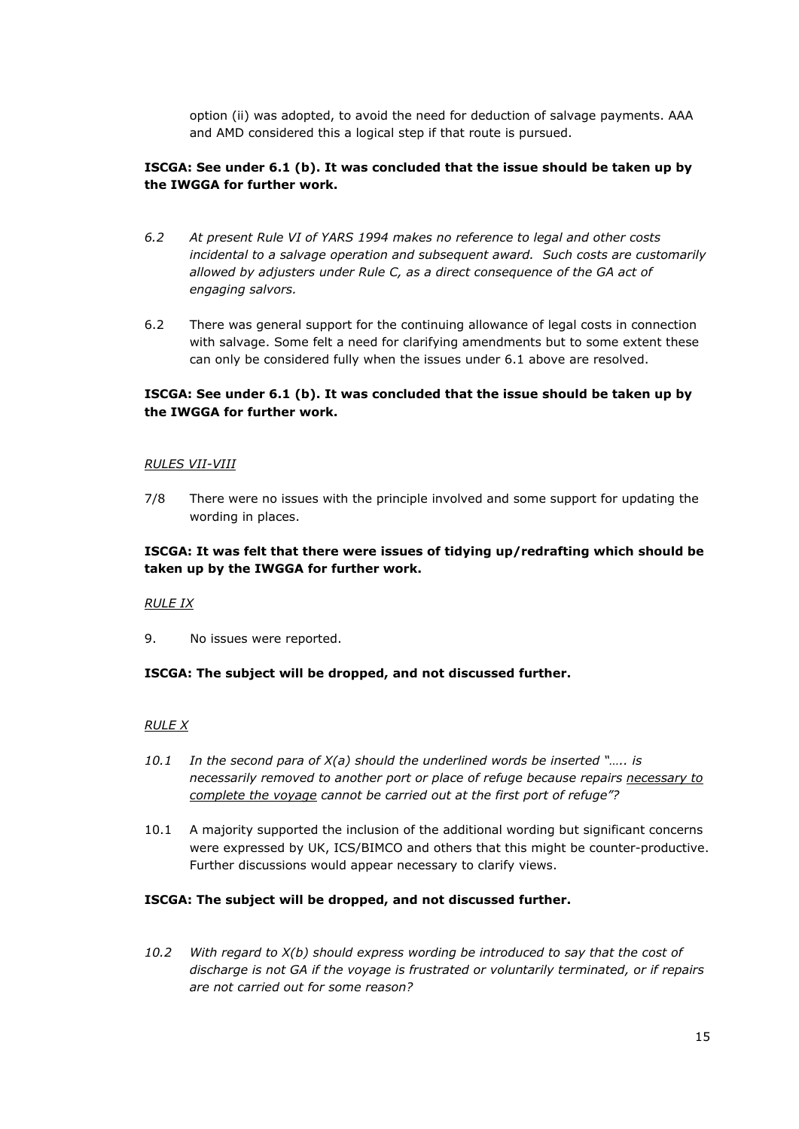option (ii) was adopted, to avoid the need for deduction of salvage payments. AAA and AMD considered this a logical step if that route is pursued.

# **ISCGA: See under 6.1 (b). It was concluded that the issue should be taken up by the IWGGA for further work.**

- *6.2 At present Rule VI of YARS 1994 makes no reference to legal and other costs incidental to a salvage operation and subsequent award. Such costs are customarily allowed by adjusters under Rule C, as a direct consequence of the GA act of engaging salvors.*
- 6.2 There was general support for the continuing allowance of legal costs in connection with salvage. Some felt a need for clarifying amendments but to some extent these can only be considered fully when the issues under 6.1 above are resolved.

### **ISCGA: See under 6.1 (b). It was concluded that the issue should be taken up by the IWGGA for further work.**

#### *RULES VII-VIII*

7/8 There were no issues with the principle involved and some support for updating the wording in places.

## **ISCGA: It was felt that there were issues of tidying up/redrafting which should be taken up by the IWGGA for further work.**

#### *RULE IX*

9. No issues were reported.

### **ISCGA: The subject will be dropped, and not discussed further.**

### *RULE X*

- *10.1 In the second para of X(a) should the underlined words be inserted "….. is necessarily removed to another port or place of refuge because repairs necessary to complete the voyage cannot be carried out at the first port of refuge"?*
- 10.1 A majority supported the inclusion of the additional wording but significant concerns were expressed by UK, ICS/BIMCO and others that this might be counter-productive. Further discussions would appear necessary to clarify views.

#### **ISCGA: The subject will be dropped, and not discussed further.**

*10.2 With regard to X(b) should express wording be introduced to say that the cost of discharge is not GA if the voyage is frustrated or voluntarily terminated, or if repairs are not carried out for some reason?*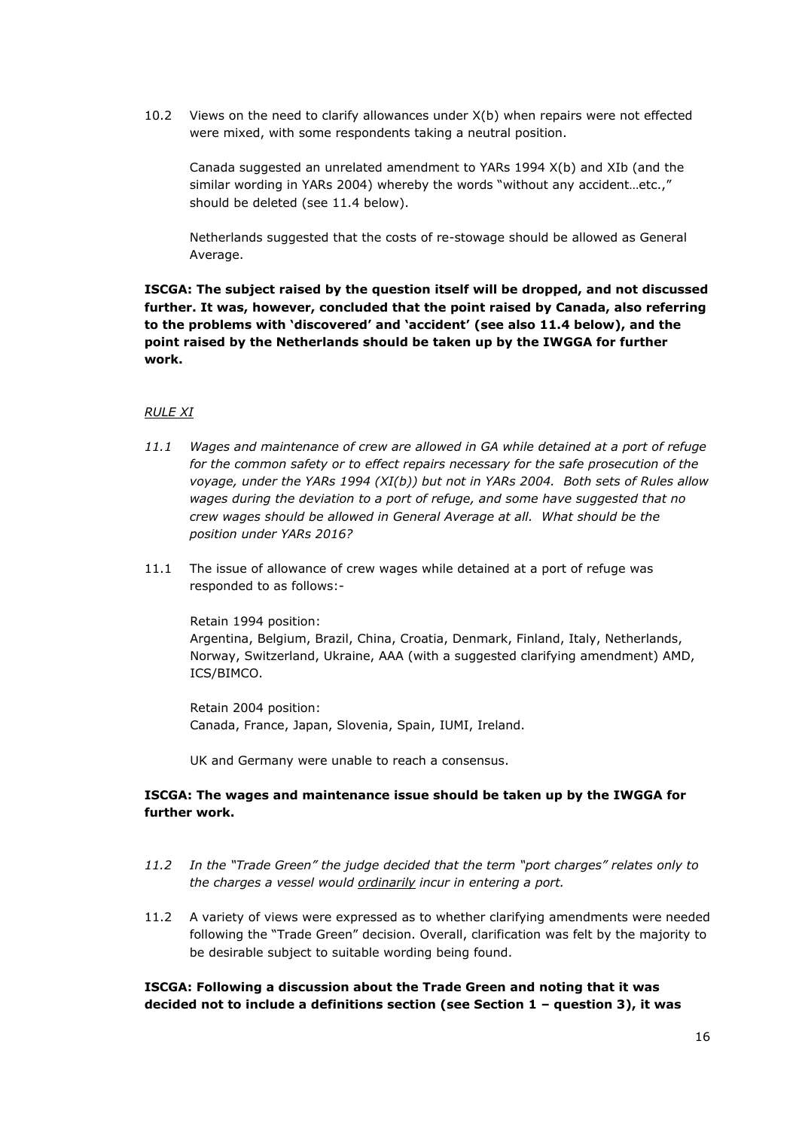10.2 Views on the need to clarify allowances under X(b) when repairs were not effected were mixed, with some respondents taking a neutral position.

Canada suggested an unrelated amendment to YARs 1994 X(b) and XIb (and the similar wording in YARs 2004) whereby the words "without any accident…etc.," should be deleted (see 11.4 below).

Netherlands suggested that the costs of re-stowage should be allowed as General Average.

**ISCGA: The subject raised by the question itself will be dropped, and not discussed further. It was, however, concluded that the point raised by Canada, also referring to the problems with 'discovered' and 'accident' (see also 11.4 below), and the point raised by the Netherlands should be taken up by the IWGGA for further work.**

#### *RULE XI*

- *11.1 Wages and maintenance of crew are allowed in GA while detained at a port of refuge for the common safety or to effect repairs necessary for the safe prosecution of the voyage, under the YARs 1994 (XI(b)) but not in YARs 2004. Both sets of Rules allow wages during the deviation to a port of refuge, and some have suggested that no crew wages should be allowed in General Average at all. What should be the position under YARs 2016?*
- 11.1 The issue of allowance of crew wages while detained at a port of refuge was responded to as follows:-

Retain 1994 position: Argentina, Belgium, Brazil, China, Croatia, Denmark, Finland, Italy, Netherlands, Norway, Switzerland, Ukraine, AAA (with a suggested clarifying amendment) AMD, ICS/BIMCO.

Retain 2004 position: Canada, France, Japan, Slovenia, Spain, IUMI, Ireland.

UK and Germany were unable to reach a consensus.

## **ISCGA: The wages and maintenance issue should be taken up by the IWGGA for further work.**

- *11.2 In the "Trade Green" the judge decided that the term "port charges" relates only to the charges a vessel would ordinarily incur in entering a port.*
- 11.2 A variety of views were expressed as to whether clarifying amendments were needed following the "Trade Green" decision. Overall, clarification was felt by the majority to be desirable subject to suitable wording being found.

**ISCGA: Following a discussion about the Trade Green and noting that it was decided not to include a definitions section (see Section 1 – question 3), it was**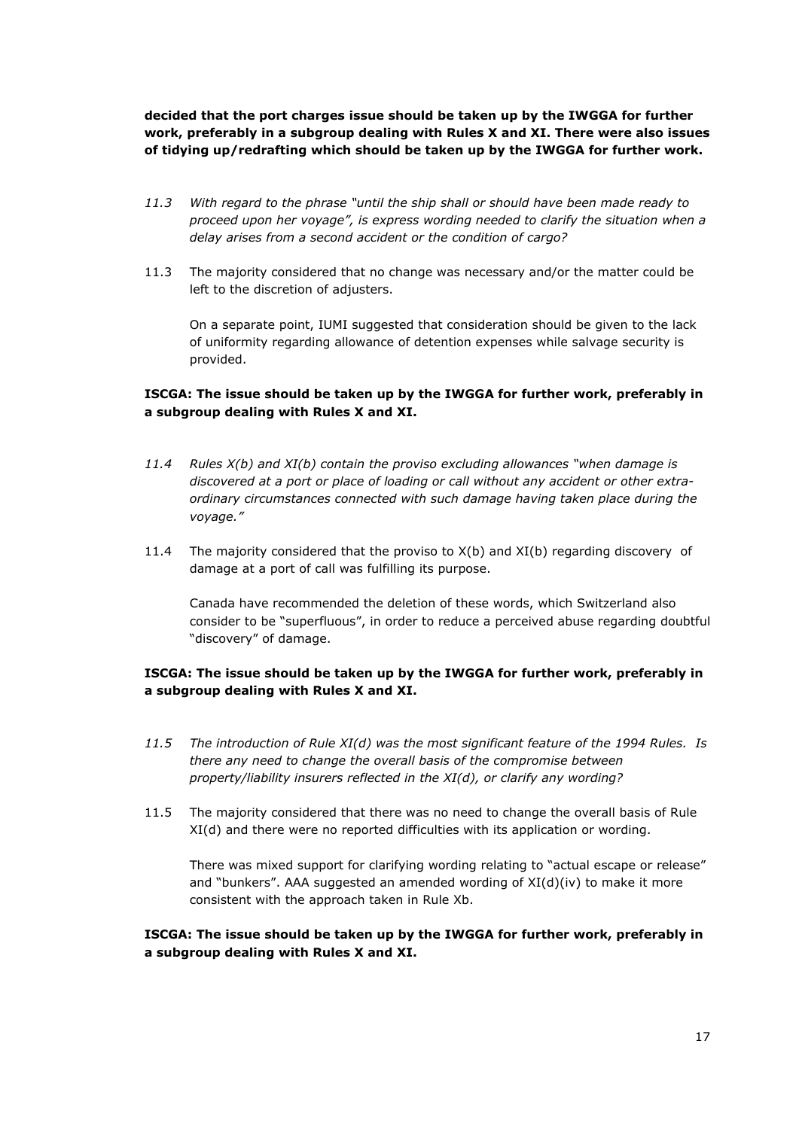**decided that the port charges issue should be taken up by the IWGGA for further work, preferably in a subgroup dealing with Rules X and XI. There were also issues of tidying up/redrafting which should be taken up by the IWGGA for further work.**

- *11.3 With regard to the phrase "until the ship shall or should have been made ready to proceed upon her voyage", is express wording needed to clarify the situation when a delay arises from a second accident or the condition of cargo?*
- 11.3 The majority considered that no change was necessary and/or the matter could be left to the discretion of adjusters.

On a separate point, IUMI suggested that consideration should be given to the lack of uniformity regarding allowance of detention expenses while salvage security is provided.

# **ISCGA: The issue should be taken up by the IWGGA for further work, preferably in a subgroup dealing with Rules X and XI.**

- *11.4 Rules X(b) and XI(b) contain the proviso excluding allowances "when damage is discovered at a port or place of loading or call without any accident or other extraordinary circumstances connected with such damage having taken place during the voyage."*
- 11.4 The majority considered that the proviso to X(b) and XI(b) regarding discovery of damage at a port of call was fulfilling its purpose.

Canada have recommended the deletion of these words, which Switzerland also consider to be "superfluous", in order to reduce a perceived abuse regarding doubtful "discovery" of damage.

# **ISCGA: The issue should be taken up by the IWGGA for further work, preferably in a subgroup dealing with Rules X and XI.**

- *11.5 The introduction of Rule XI(d) was the most significant feature of the 1994 Rules. Is there any need to change the overall basis of the compromise between property/liability insurers reflected in the XI(d), or clarify any wording?*
- 11.5 The majority considered that there was no need to change the overall basis of Rule XI(d) and there were no reported difficulties with its application or wording.

There was mixed support for clarifying wording relating to "actual escape or release" and "bunkers". AAA suggested an amended wording of  $XI(d)(iv)$  to make it more consistent with the approach taken in Rule Xb.

**ISCGA: The issue should be taken up by the IWGGA for further work, preferably in a subgroup dealing with Rules X and XI.**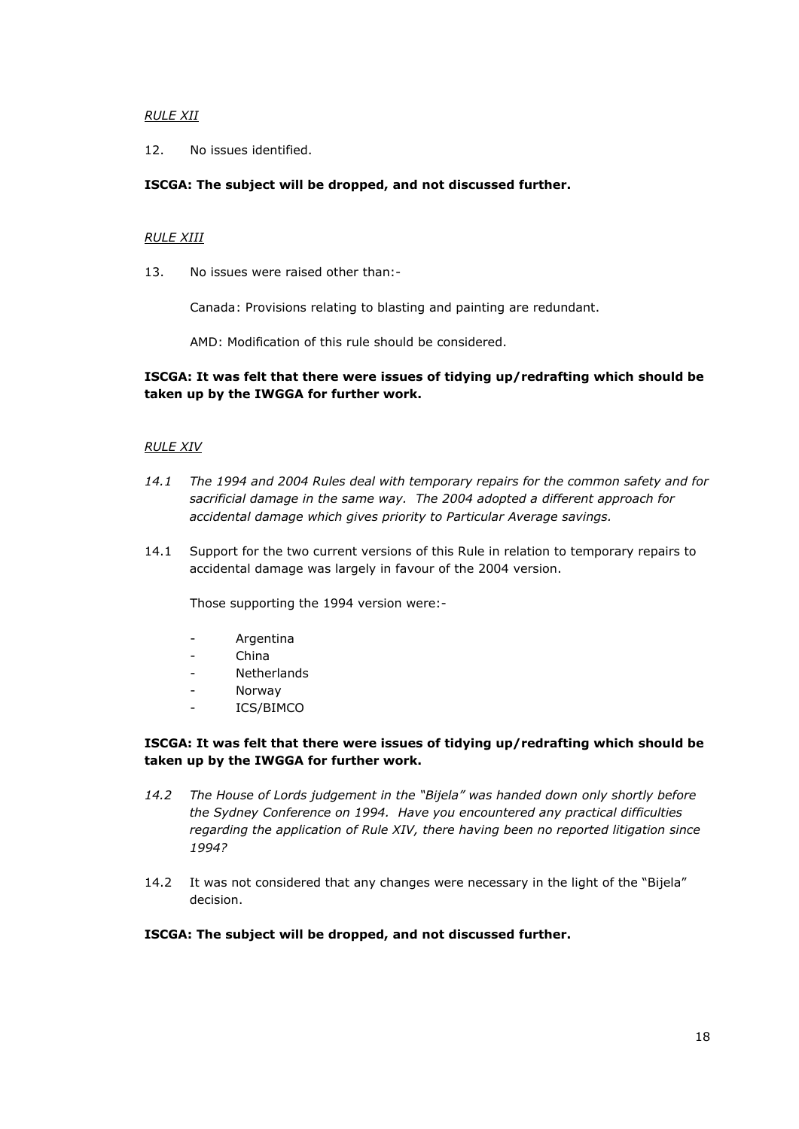### *RULE XII*

12. No issues identified.

## **ISCGA: The subject will be dropped, and not discussed further.**

### *RULE XIII*

13. No issues were raised other than:-

Canada: Provisions relating to blasting and painting are redundant.

AMD: Modification of this rule should be considered.

# **ISCGA: It was felt that there were issues of tidying up/redrafting which should be taken up by the IWGGA for further work.**

## *RULE XIV*

- *14.1 The 1994 and 2004 Rules deal with temporary repairs for the common safety and for sacrificial damage in the same way. The 2004 adopted a different approach for accidental damage which gives priority to Particular Average savings.*
- 14.1 Support for the two current versions of this Rule in relation to temporary repairs to accidental damage was largely in favour of the 2004 version.

Those supporting the 1994 version were:-

- **Argentina**
- China
- Netherlands
- **Norway**
- ICS/BIMCO

# **ISCGA: It was felt that there were issues of tidying up/redrafting which should be taken up by the IWGGA for further work.**

- *14.2 The House of Lords judgement in the "Bijela" was handed down only shortly before the Sydney Conference on 1994. Have you encountered any practical difficulties regarding the application of Rule XIV, there having been no reported litigation since 1994?*
- 14.2 It was not considered that any changes were necessary in the light of the "Bijela" decision.

### **ISCGA: The subject will be dropped, and not discussed further.**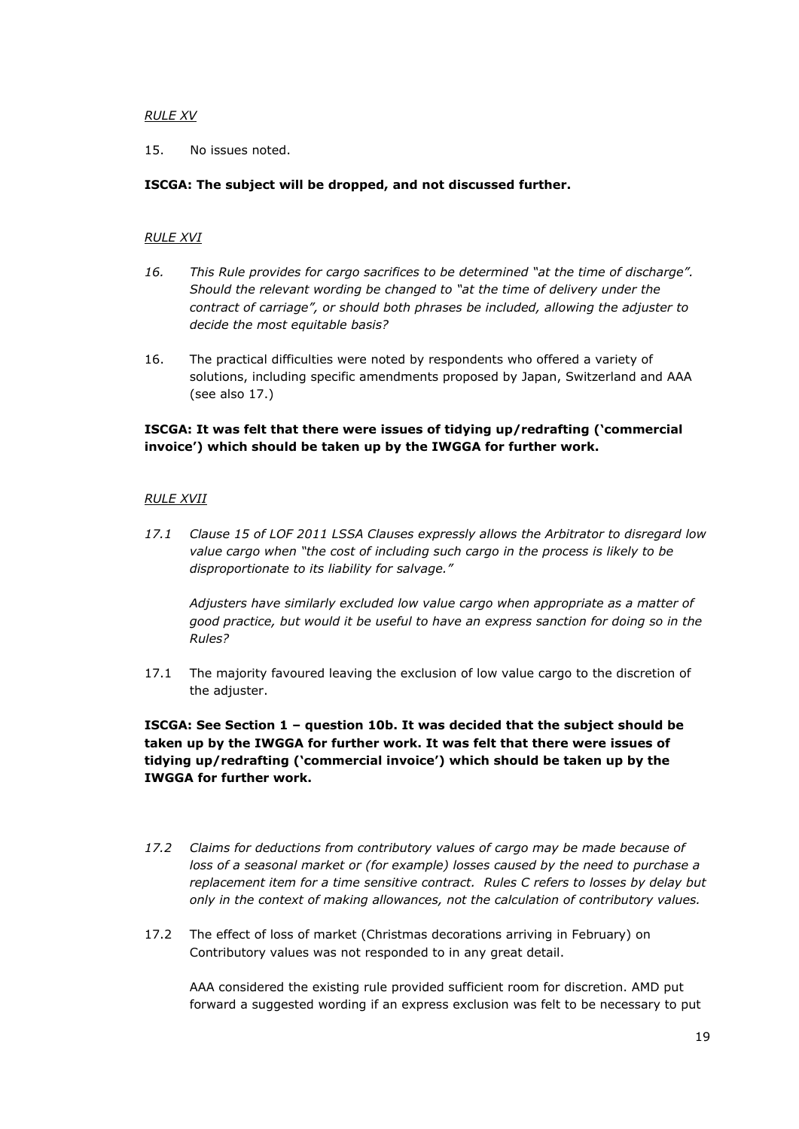### *RULE XV*

15. No issues noted.

## **ISCGA: The subject will be dropped, and not discussed further.**

## *RULE XVI*

- *16. This Rule provides for cargo sacrifices to be determined "at the time of discharge". Should the relevant wording be changed to "at the time of delivery under the contract of carriage", or should both phrases be included, allowing the adjuster to decide the most equitable basis?*
- 16. The practical difficulties were noted by respondents who offered a variety of solutions, including specific amendments proposed by Japan, Switzerland and AAA (see also 17.)

# **ISCGA: It was felt that there were issues of tidying up/redrafting ('commercial invoice') which should be taken up by the IWGGA for further work.**

## *RULE XVII*

*17.1 Clause 15 of LOF 2011 LSSA Clauses expressly allows the Arbitrator to disregard low value cargo when "the cost of including such cargo in the process is likely to be disproportionate to its liability for salvage."*

*Adjusters have similarly excluded low value cargo when appropriate as a matter of good practice, but would it be useful to have an express sanction for doing so in the Rules?*

17.1 The majority favoured leaving the exclusion of low value cargo to the discretion of the adjuster.

**ISCGA: See Section 1 – question 10b. It was decided that the subject should be taken up by the IWGGA for further work. It was felt that there were issues of tidying up/redrafting ('commercial invoice') which should be taken up by the IWGGA for further work.**

- *17.2 Claims for deductions from contributory values of cargo may be made because of loss of a seasonal market or (for example) losses caused by the need to purchase a replacement item for a time sensitive contract. Rules C refers to losses by delay but only in the context of making allowances, not the calculation of contributory values.*
- 17.2 The effect of loss of market (Christmas decorations arriving in February) on Contributory values was not responded to in any great detail.

AAA considered the existing rule provided sufficient room for discretion. AMD put forward a suggested wording if an express exclusion was felt to be necessary to put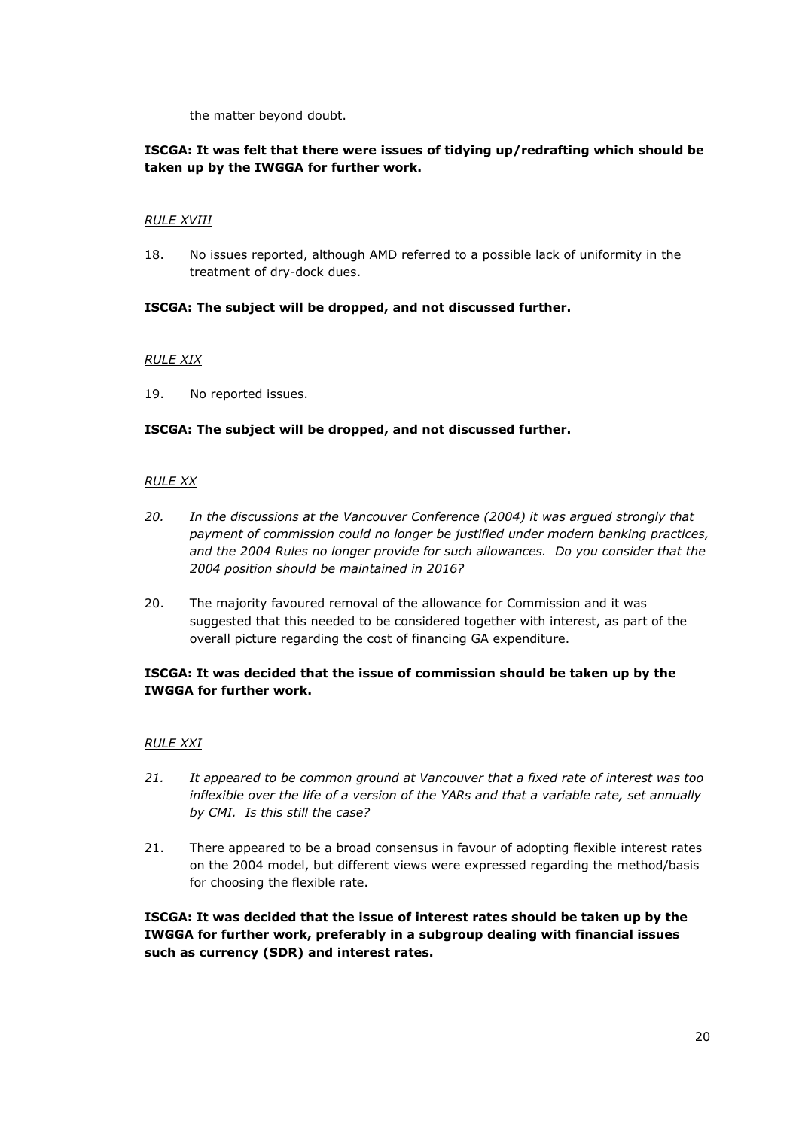the matter beyond doubt.

# **ISCGA: It was felt that there were issues of tidying up/redrafting which should be taken up by the IWGGA for further work.**

## *RULE XVIII*

18. No issues reported, although AMD referred to a possible lack of uniformity in the treatment of dry-dock dues.

## **ISCGA: The subject will be dropped, and not discussed further.**

## *RULE XIX*

19. No reported issues.

## **ISCGA: The subject will be dropped, and not discussed further.**

### *RULE XX*

- *20. In the discussions at the Vancouver Conference (2004) it was argued strongly that payment of commission could no longer be justified under modern banking practices, and the 2004 Rules no longer provide for such allowances. Do you consider that the 2004 position should be maintained in 2016?*
- 20. The majority favoured removal of the allowance for Commission and it was suggested that this needed to be considered together with interest, as part of the overall picture regarding the cost of financing GA expenditure.

# **ISCGA: It was decided that the issue of commission should be taken up by the IWGGA for further work.**

### *RULE XXI*

- *21. It appeared to be common ground at Vancouver that a fixed rate of interest was too inflexible over the life of a version of the YARs and that a variable rate, set annually by CMI. Is this still the case?*
- 21. There appeared to be a broad consensus in favour of adopting flexible interest rates on the 2004 model, but different views were expressed regarding the method/basis for choosing the flexible rate.

**ISCGA: It was decided that the issue of interest rates should be taken up by the IWGGA for further work, preferably in a subgroup dealing with financial issues such as currency (SDR) and interest rates.**